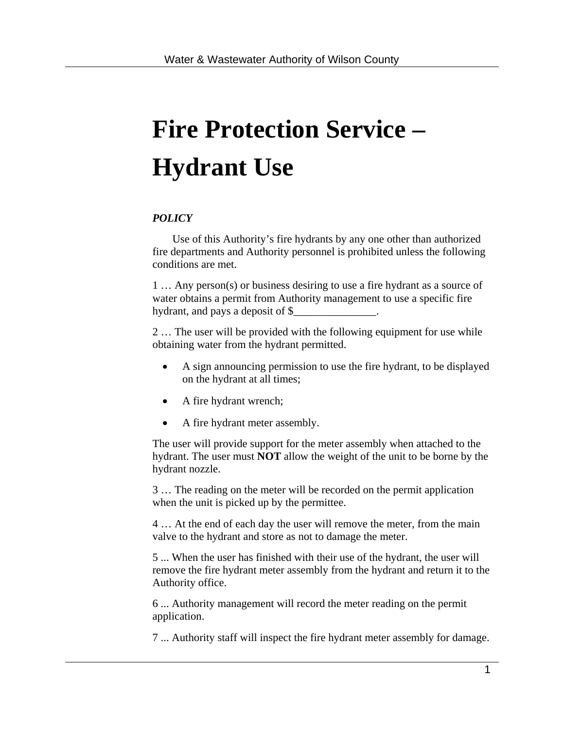## **Fire Protection Service – Hydrant Use**

## *POLICY*

Use of this Authority's fire hydrants by any one other than authorized fire departments and Authority personnel is prohibited unless the following conditions are met.

1 … Any person(s) or business desiring to use a fire hydrant as a source of water obtains a permit from Authority management to use a specific fire hydrant, and pays a deposit of  $\frac{1}{2}$ 

2 … The user will be provided with the following equipment for use while obtaining water from the hydrant permitted.

- A sign announcing permission to use the fire hydrant, to be displayed on the hydrant at all times;
- A fire hydrant wrench;
- A fire hydrant meter assembly.

The user will provide support for the meter assembly when attached to the hydrant. The user must **NOT** allow the weight of the unit to be borne by the hydrant nozzle.

3 … The reading on the meter will be recorded on the permit application when the unit is picked up by the permittee.

4 … At the end of each day the user will remove the meter, from the main valve to the hydrant and store as not to damage the meter.

5 ... When the user has finished with their use of the hydrant, the user will remove the fire hydrant meter assembly from the hydrant and return it to the Authority office.

6 ... Authority management will record the meter reading on the permit application.

7 ... Authority staff will inspect the fire hydrant meter assembly for damage.